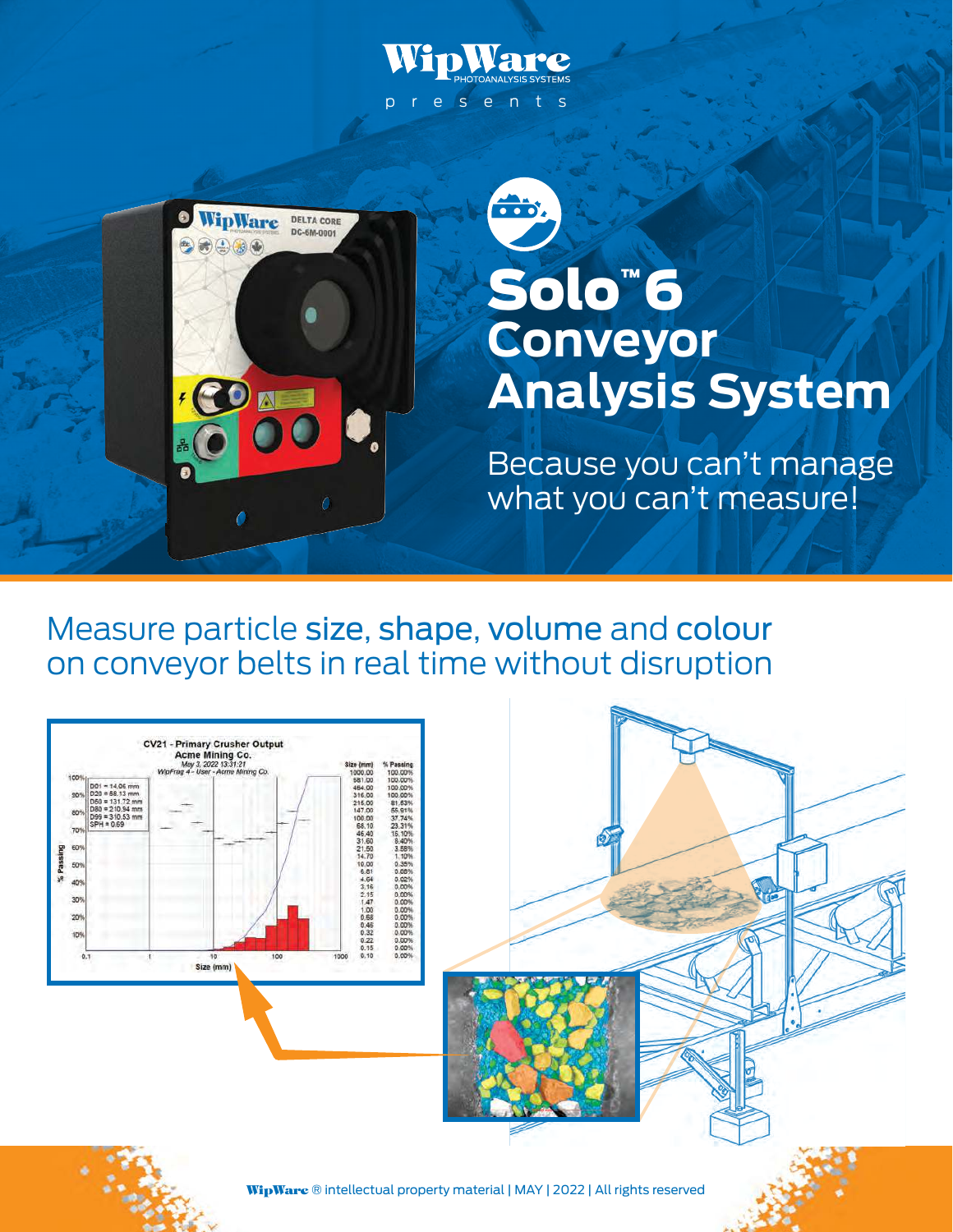



Measure particle size, shape, volume and colour on conveyor belts in real time without disruption